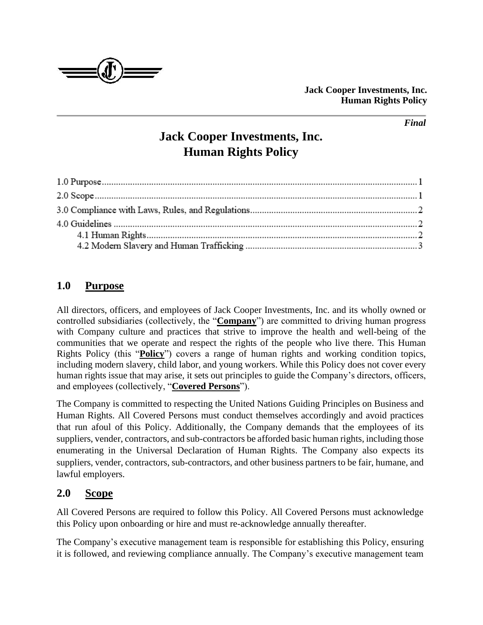

#### *Final*

# **Jack Cooper Investments, Inc. Human Rights Policy**

## **1.0 Purpose**

All directors, officers, and employees of Jack Cooper Investments, Inc. and its wholly owned or controlled subsidiaries (collectively, the "**Company**") are committed to driving human progress with Company culture and practices that strive to improve the health and well-being of the communities that we operate and respect the rights of the people who live there. This Human Rights Policy (this "**Policy**") covers a range of human rights and working condition topics, including modern slavery, child labor, and young workers. While this Policy does not cover every human rights issue that may arise, it sets out principles to guide the Company's directors, officers, and employees (collectively, "**Covered Persons**").

The Company is committed to respecting the United Nations Guiding Principles on Business and Human Rights. All Covered Persons must conduct themselves accordingly and avoid practices that run afoul of this Policy. Additionally, the Company demands that the employees of its suppliers, vender, contractors, and sub-contractors be afforded basic human rights, including those enumerating in the Universal Declaration of Human Rights. The Company also expects its suppliers, vender, contractors, sub-contractors, and other business partners to be fair, humane, and lawful employers.

### **2.0 Scope**

All Covered Persons are required to follow this Policy. All Covered Persons must acknowledge this Policy upon onboarding or hire and must re-acknowledge annually thereafter.

The Company's executive management team is responsible for establishing this Policy, ensuring it is followed, and reviewing compliance annually. The Company's executive management team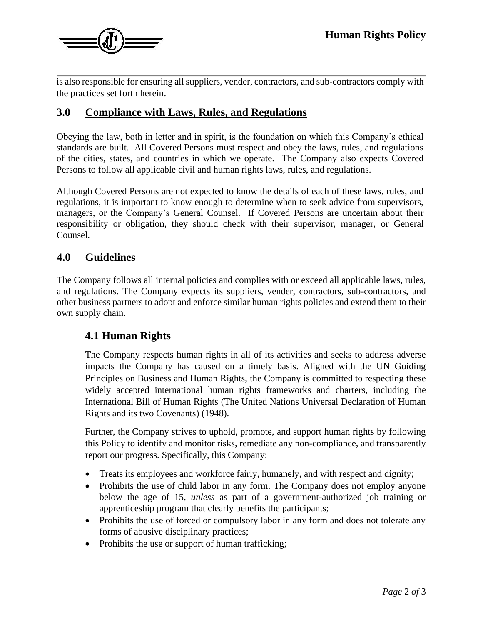

is also responsible for ensuring all suppliers, vender, contractors, and sub-contractors comply with the practices set forth herein.

#### **3.0 Compliance with Laws, Rules, and Regulations**

Obeying the law, both in letter and in spirit, is the foundation on which this Company's ethical standards are built. All Covered Persons must respect and obey the laws, rules, and regulations of the cities, states, and countries in which we operate. The Company also expects Covered Persons to follow all applicable civil and human rights laws, rules, and regulations.

Although Covered Persons are not expected to know the details of each of these laws, rules, and regulations, it is important to know enough to determine when to seek advice from supervisors, managers, or the Company's General Counsel. If Covered Persons are uncertain about their responsibility or obligation, they should check with their supervisor, manager, or General Counsel.

#### **4.0 Guidelines**

The Company follows all internal policies and complies with or exceed all applicable laws, rules, and regulations. The Company expects its suppliers, vender, contractors, sub-contractors, and other business partners to adopt and enforce similar human rights policies and extend them to their own supply chain.

### **4.1 Human Rights**

The Company respects human rights in all of its activities and seeks to address adverse impacts the Company has caused on a timely basis. Aligned with the UN Guiding Principles on Business and Human Rights, the Company is committed to respecting these widely accepted international human rights frameworks and charters, including the International Bill of Human Rights (The United Nations Universal Declaration of Human Rights and its two Covenants) (1948).

Further, the Company strives to uphold, promote, and support human rights by following this Policy to identify and monitor risks, remediate any non-compliance, and transparently report our progress. Specifically, this Company:

- Treats its employees and workforce fairly, humanely, and with respect and dignity;
- Prohibits the use of child labor in any form. The Company does not employ anyone below the age of 15, *unless* as part of a government-authorized job training or apprenticeship program that clearly benefits the participants;
- Prohibits the use of forced or compulsory labor in any form and does not tolerate any forms of abusive disciplinary practices;
- Prohibits the use or support of human trafficking;